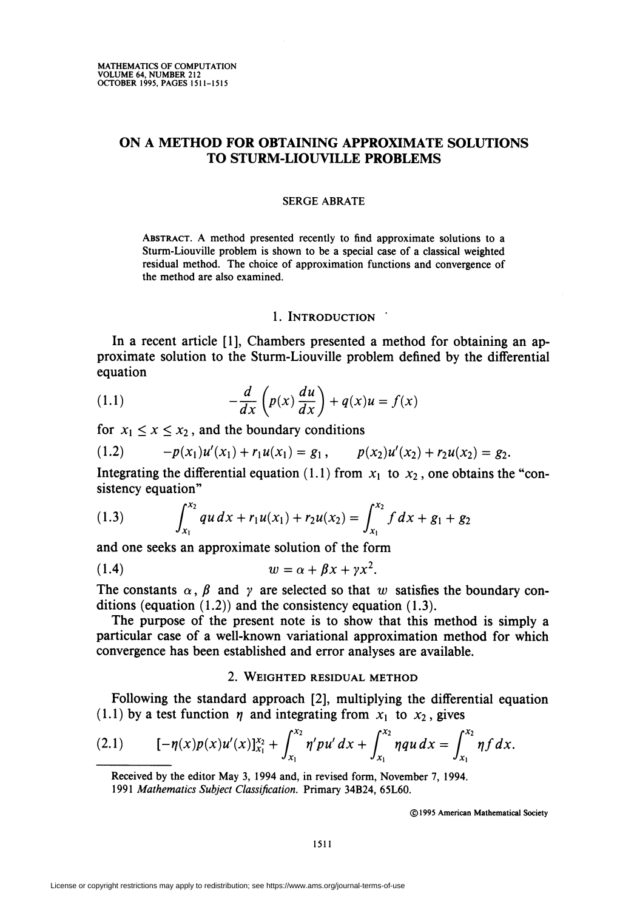# ON A METHOD FOR OBTAINING APPROXIMATE SOLUTIONS TO STURM-LIOUVILLE PROBLEMS

### SERGE ABRATE

ABSTRACT. A method presented recently to find approximate solutions to a Sturm-Liouville problem is shown to be a special case of a classical weighted residual method. The choice of approximation functions and convergence of the method are also examined.

#### 1. INTRODUCTION '

In a recent article [1], Chambers presented a method for obtaining an approximate solution to the Sturm-Liouville problem defined by the differential equation

(1.1) 
$$
-\frac{d}{dx}\left(p(x)\frac{du}{dx}\right) + q(x)u = f(x)
$$

for  $x_1 \le x \le x_2$ , and the boundary conditions

$$
(1.2) \t-p(x_1)u'(x_1)+r_1u(x_1)=g_1, \t p(x_2)u'(x_2)+r_2u(x_2)=g_2.
$$

Integrating the differential equation (1.1) from  $x_1$  to  $x_2$ , one obtains the "consistency equation"

(1.3) 
$$
\int_{x_1}^{x_2} qu \, dx + r_1 u(x_1) + r_2 u(x_2) = \int_{x_1}^{x_2} f \, dx + g_1 + g_2
$$

and one seeks an approximate solution of the form

$$
(1.4) \t\t\t w = \alpha + \beta x + \gamma x^2.
$$

The constants  $\alpha$ ,  $\beta$  and  $\gamma$  are selected so that w satisfies the boundary conditions (equation  $(1.2)$ ) and the consistency equation  $(1.3)$ .

The purpose of the present note is to show that this method is simply a particular case of a well-known variational approximation method for which convergence has been established and error analyses are available.

#### 2. Weighted residual method

Following the standard approach [2], multiplying the differential equation (1.1) by a test function  $\eta$  and integrating from  $x_1$  to  $x_2$ , gives

(2.1) 
$$
[-\eta(x)p(x)u'(x)]_{x_1}^{x_2} + \int_{x_1}^{x_2} \eta' pu' dx + \int_{x_1}^{x_2} \eta qu dx = \int_{x_1}^{x_2} \eta f dx.
$$

Received by the editor May 3, 1994 and, in revised form, November 7, 1994. 1991 Mathematics Subject Classification. Primary 34B24, 65L60.

©1995 American Mathematical Society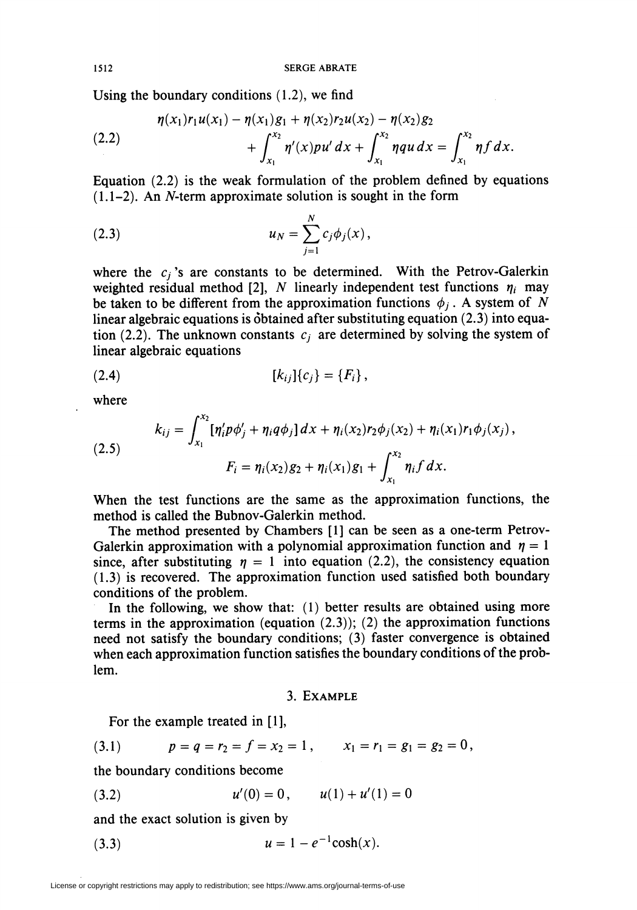1512 SERGE ABRATE

Using the boundary conditions (1.2), we find

(2.2) 
$$
\eta(x_1)r_1u(x_1) - \eta(x_1)g_1 + \eta(x_2)r_2u(x_2) - \eta(x_2)g_2 + \int_{x_1}^{x_2} \eta'(x)pu'(dx) + \int_{x_1}^{x_2} \eta\eta(u)dx = \int_{x_1}^{x_2} \eta f\,dx.
$$

Equation  $(2.2)$  is the weak formulation of the problem defined by equations  $(1.1-2)$ . An N-term approximate solution is sought in the form

(2.3) 
$$
u_N = \sum_{j=1}^N c_j \phi_j(x),
$$

where the  $c_j$ 's are constants to be determined. With the Petrov-Galerkin weighted residual method [2], N linearly independent test functions  $\eta_i$  may be taken to be different from the approximation functions  $\phi_i$ . A system of N linear algebraic equations is obtained after substituting equation (2.3) into equation (2.2). The unknown constants  $c_j$  are determined by solving the system of linear algebraic equations

$$
(2.4) \t\t\t [k_{ij}]\{c_j\} = \{F_i\},
$$

where

(2.5)  

$$
k_{ij} = \int_{x_1}^{x_2} [\eta'_i p \phi'_j + \eta_i q \phi_j] dx + \eta_i(x_2) r_2 \phi_j(x_2) + \eta_i(x_1) r_1 \phi_j(x_j),
$$

$$
F_i = \eta_i(x_2) g_2 + \eta_i(x_1) g_1 + \int_{x_1}^{x_2} \eta_i f dx.
$$

When the test functions are the same as the approximation functions, the method is called the Bubnov-Galerkin method.

The method presented by Chambers [1] can be seen as a one-term Petrov-Galerkin approximation with a polynomial approximation function and  $\eta = 1$ since, after substituting  $\eta = 1$  into equation (2.2), the consistency equation (1.3) is recovered. The approximation function used satisfied both boundary conditions of the problem.

In the following, we show that: (1) better results are obtained using more terms in the approximation (equation  $(2.3)$ ); (2) the approximation functions need not satisfy the boundary conditions; (3) faster convergence is obtained when each approximation function satisfies the boundary conditions of the problem.

### 3. Example

For the example treated in [1],

$$
(3.1) \t p = q = r_2 = f = x_2 = 1, \t x_1 = r_1 = g_1 = g_2 = 0,
$$

the boundary conditions become

(3.2)  $u'(0) = 0$ ,  $u(1) + u'(1) = 0$ 

and the exact solution is given by

(3.3) 
$$
u = 1 - e^{-1} \cosh(x).
$$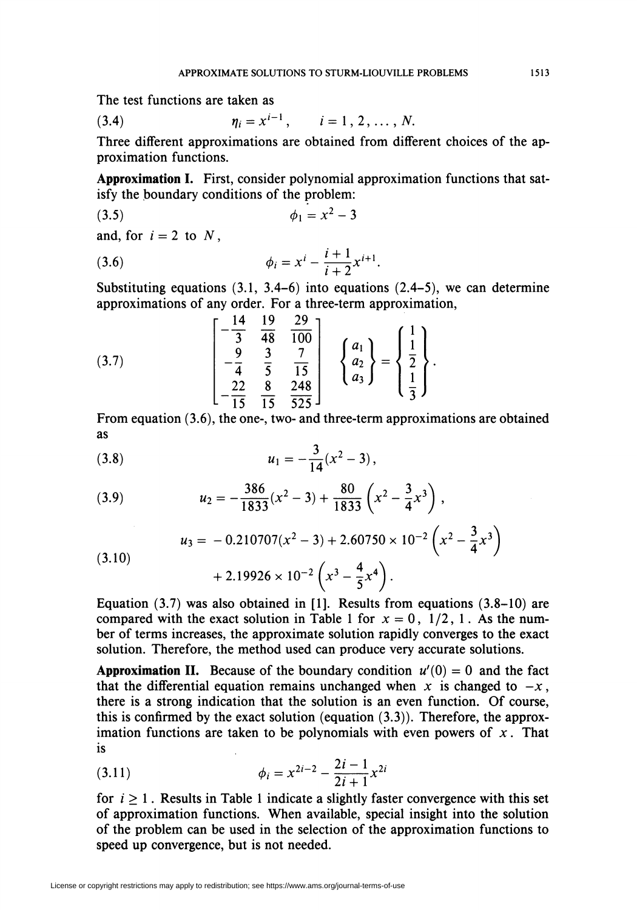The test functions are taken as

(3.4) 
$$
\eta_i = x^{i-1}, \qquad i = 1, 2, ..., N
$$

Three different approximations are obtained from different choices of the approximation functions.

Approximation I. First, consider polynomial approximation functions that satisfy the boundary conditions of the problem:

$$
\phi_1 = x^2 - 3
$$

and, for  $i = 2$  to N,

(3.6) 
$$
\phi_i = x^i - \frac{i+1}{i+2} x^{i+1}.
$$

Substituting equations  $(3.1, 3.4-6)$  into equations  $(2.4-5)$ , we can determine approximations of any order. For a three-term approximation,

(3.7) 
$$
\begin{bmatrix} -\frac{14}{3} & \frac{19}{48} & \frac{29}{100} \\ \frac{9}{4} & \frac{3}{5} & \frac{7}{15} \\ -\frac{22}{15} & \frac{8}{15} & \frac{248}{525} \end{bmatrix} \begin{Bmatrix} a_1 \\ a_2 \\ a_3 \end{Bmatrix} = \begin{Bmatrix} 1 \\ \frac{1}{2} \\ \frac{1}{3} \end{Bmatrix}.
$$

From equation (3.6), the one-, two- and three-term approximations are obtained as

$$
(3.8) \t u_1 = -\frac{3}{14}(x^2-3),
$$

(3.9) 
$$
u_2 = -\frac{386}{1833}(x^2 - 3) + \frac{80}{1833}\left(x^2 - \frac{3}{4}x^3\right),
$$

$$
(3.10) \t\t u_3 = -0.210707(x^2 - 3) + 2.60750 \times 10^{-2} \left(x^2 - \frac{3}{4}x^3\right) + 2.19926 \times 10^{-2} \left(x^3 - \frac{4}{5}x^4\right).
$$

Equation  $(3.7)$  was also obtained in [1]. Results from equations  $(3.8-10)$  are compared with the exact solution in Table 1 for  $x = 0$ , 1/2, 1. As the number of terms increases, the approximate solution rapidly converges to the exact solution. Therefore, the method used can produce very accurate solutions.

**Approximation II.** Because of the boundary condition  $u'(0) = 0$  and the fact that the differential equation remains unchanged when x is changed to  $-x$ , there is a strong indication that the solution is an even function. Of course, this is confirmed by the exact solution (equation  $(3.3)$ ). Therefore, the approximation functions are taken to be polynomials with even powers of  $x$ . That is

(3.11) 
$$
\phi_i = x^{2i-2} - \frac{2i-1}{2i+1} x^{2i}
$$

for  $i > 1$ . Results in Table 1 indicate a slightly faster convergence with this set of approximation functions. When available, special insight into the solution of the problem can be used in the selection of the approximation functions to speed up convergence, but is not needed.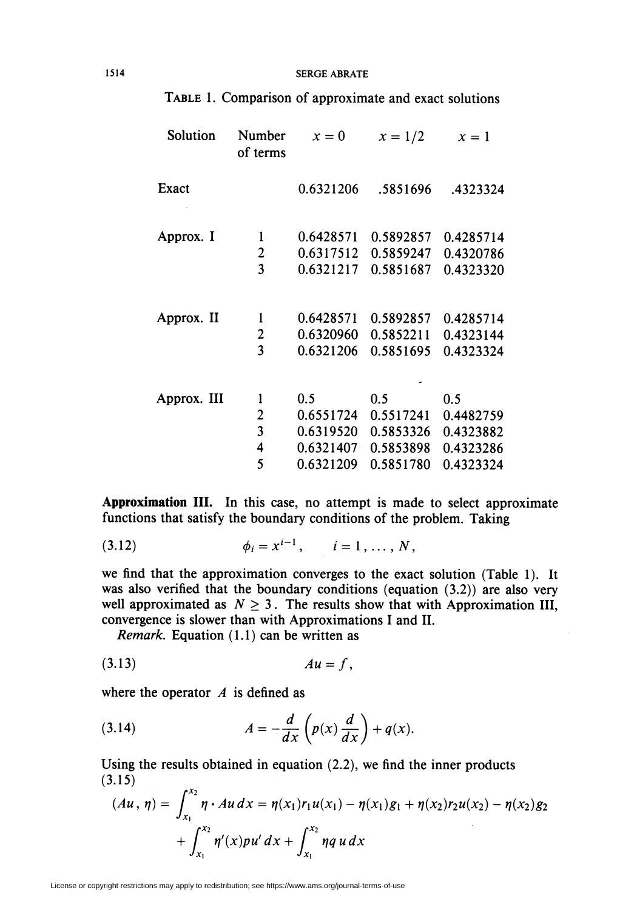#### 1514 SERGE ABRATE

| Solution    | Number<br>of terms      | $x=0$     | $x = 1/2$ | $x=1$     |
|-------------|-------------------------|-----------|-----------|-----------|
| Exact       |                         | 0.6321206 | .5851696  | .4323324  |
| Approx. I   | $\mathbf{1}$            | 0.6428571 | 0.5892857 | 0.4285714 |
|             | $\overline{\mathbf{c}}$ | 0.6317512 | 0.5859247 | 0.4320786 |
|             | $\overline{3}$          | 0.6321217 | 0.5851687 | 0.4323320 |
| Approx. II  | 1                       | 0.6428571 | 0.5892857 | 0.4285714 |
|             | $\overline{2}$          | 0.6320960 | 0.5852211 | 0.4323144 |
|             | $\overline{\mathbf{3}}$ | 0.6321206 | 0.5851695 | 0.4323324 |
| Approx. III | 1                       | 0.5       | 0.5       | 0.5       |
|             | $\overline{\mathbf{c}}$ | 0.6551724 | 0.5517241 | 0.4482759 |
|             | $\overline{\mathbf{3}}$ | 0.6319520 | 0.5853326 | 0.4323882 |
|             | 4                       | 0.6321407 | 0.5853898 | 0.4323286 |
|             | 5                       | 0.6321209 | 0.5851780 | 0.4323324 |

# Table 1. Comparison of approximate and exact solutions

Approximation III. In this case, no attempt is made to select approximate functions that satisfy the boundary conditions of the problem. Taking

(3.12) 
$$
\phi_i = x^{i-1}, \qquad i = 1, ..., N,
$$

we find that the approximation converges to the exact solution (Table 1). It was also verified that the boundary conditions (equation  $(3.2)$ ) are also very well approximated as  $N \geq 3$ . The results show that with Approximation III, convergence is slower than with Approximations I and II.

Remark. Equation (1.1) can be written as

$$
(3.13) \t\t\t Au = f,
$$

where the operator  $A$  is defined as

(3.14) 
$$
A = -\frac{d}{dx}\left(p(x)\frac{d}{dx}\right) + q(x).
$$

Using the results obtained in equation (2.2), we find the inner products  $(3.15)$  $\overline{a}$ 

$$
(Au, \eta) = \int_{x_1}^{x_2} \eta \cdot Au \, dx = \eta(x_1) r_1 u(x_1) - \eta(x_1) g_1 + \eta(x_2) r_2 u(x_2) - \eta(x_2) g_2
$$

$$
+ \int_{x_1}^{x_2} \eta'(x) p u' \, dx + \int_{x_1}^{x_2} \eta q u \, dx
$$